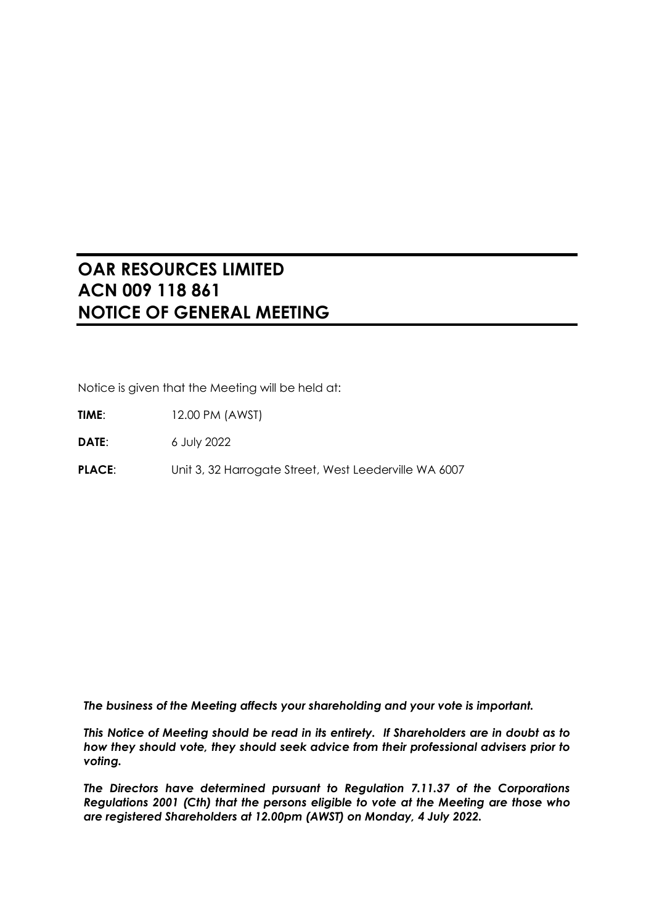# **OAR RESOURCES LIMITED ACN 009 118 861 NOTICE OF GENERAL MEETING**

Notice is given that the Meeting will be held at:

**TIME**: 12.00 PM (AWST)

**DATE**: 6 July 2022

PLACE: Unit 3, 32 Harrogate Street, West Leederville WA 6007

*The business of the Meeting affects your shareholding and your vote is important.*

*This Notice of Meeting should be read in its entirety. If Shareholders are in doubt as to how they should vote, they should seek advice from their professional advisers prior to voting.*

*The Directors have determined pursuant to Regulation 7.11.37 of the Corporations Regulations 2001 (Cth) that the persons eligible to vote at the Meeting are those who are registered Shareholders at 12.00pm (AWST) on Monday, 4 July 2022.*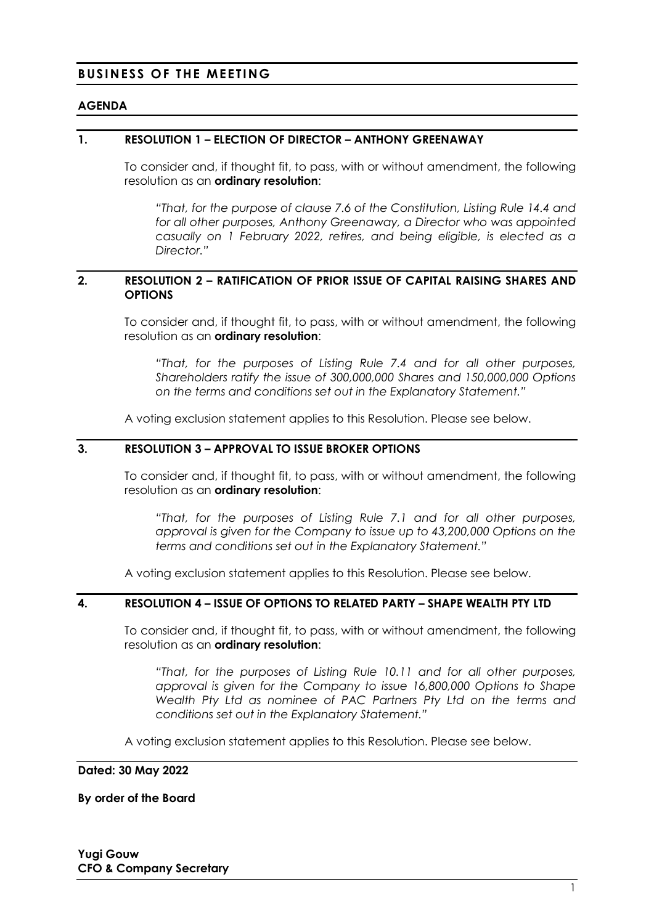### **BUSINESS OF THE MEETING**

#### **AGENDA**

#### <span id="page-1-3"></span>**1. RESOLUTION 1 – ELECTION OF DIRECTOR – ANTHONY GREENAWAY**

To consider and, if thought fit, to pass, with or without amendment, the following resolution as an **ordinary resolution**:

*"That, for the purpose of clause 7.6 of the Constitution, Listing Rule 14.4 and for all other purposes, Anthony Greenaway, a Director who was appointed casually on 1 February 2022, retires, and being eligible, is elected as a Director."*

#### <span id="page-1-0"></span>**2. RESOLUTION 2 – RATIFICATION OF PRIOR ISSUE OF CAPITAL RAISING SHARES AND OPTIONS**

To consider and, if thought fit, to pass, with or without amendment, the following resolution as an **ordinary resolution**:

*"That, for the purposes of Listing Rule 7.4 and for all other purposes, Shareholders ratify the issue of 300,000,000 Shares and 150,000,000 Options on the terms and conditions set out in the Explanatory Statement."*

A voting exclusion statement applies to this Resolution. Please see below.

### <span id="page-1-1"></span>**3. RESOLUTION 3 – APPROVAL TO ISSUE BROKER OPTIONS**

To consider and, if thought fit, to pass, with or without amendment, the following resolution as an **ordinary resolution**:

*"That, for the purposes of Listing Rule 7.1 and for all other purposes, approval is given for the Company to issue up to 43,200,000 Options on the terms and conditions set out in the Explanatory Statement."*

A voting exclusion statement applies to this Resolution. Please see below.

#### <span id="page-1-2"></span>**4. RESOLUTION 4 – ISSUE OF OPTIONS TO RELATED PARTY – SHAPE WEALTH PTY LTD**

To consider and, if thought fit, to pass, with or without amendment, the following resolution as an **ordinary resolution**:

*"That, for the purposes of Listing Rule 10.11 and for all other purposes, approval is given for the Company to issue 16,800,000 Options to Shape Wealth Pty Ltd as nominee of PAC Partners Pty Ltd on the terms and conditions set out in the Explanatory Statement."*

A voting exclusion statement applies to this Resolution. Please see below.

#### **Dated: 30 May 2022**

**By order of the Board**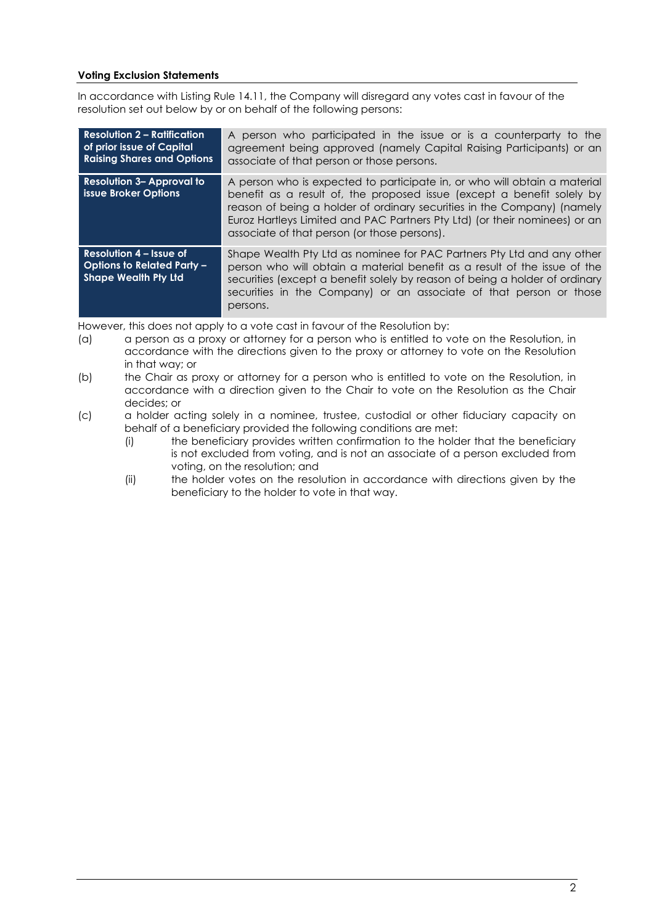#### **Voting Exclusion Statements**

In accordance with Listing Rule 14.11, the Company will disregard any votes cast in favour of the resolution set out below by or on behalf of the following persons:

| <b>Resolution 2 - Ratification</b><br>of prior issue of Capital<br><b>Raising Shares and Options</b> | A person who participated in the issue or is a counterparty to the<br>agreement being approved (namely Capital Raising Participants) or an<br>associate of that person or those persons.                                                                                                                                                                     |
|------------------------------------------------------------------------------------------------------|--------------------------------------------------------------------------------------------------------------------------------------------------------------------------------------------------------------------------------------------------------------------------------------------------------------------------------------------------------------|
| <b>Resolution 3- Approval to</b><br>issue Broker Options                                             | A person who is expected to participate in, or who will obtain a material<br>benefit as a result of, the proposed issue (except a benefit solely by<br>reason of being a holder of ordinary securities in the Company) (namely<br>Euroz Hartleys Limited and PAC Partners Pty Ltd) (or their nominees) or an<br>associate of that person (or those persons). |
| <b>Resolution 4 - Issue of</b><br><b>Options to Related Party -</b><br><b>Shape Wealth Pty Ltd</b>   | Shape Wealth Pty Ltd as nominee for PAC Partners Pty Ltd and any other<br>person who will obtain a material benefit as a result of the issue of the<br>securities (except a benefit solely by reason of being a holder of ordinary<br>securities in the Company) or an associate of that person or those<br>persons.                                         |

However, this does not apply to a vote cast in favour of the Resolution by:

- (a) a person as a proxy or attorney for a person who is entitled to vote on the Resolution, in accordance with the directions given to the proxy or attorney to vote on the Resolution in that way; or
- (b) the Chair as proxy or attorney for a person who is entitled to vote on the Resolution, in accordance with a direction given to the Chair to vote on the Resolution as the Chair decides; or
- (c) a holder acting solely in a nominee, trustee, custodial or other fiduciary capacity on behalf of a beneficiary provided the following conditions are met:
	- (i) the beneficiary provides written confirmation to the holder that the beneficiary is not excluded from voting, and is not an associate of a person excluded from voting, on the resolution; and
	- (ii) the holder votes on the resolution in accordance with directions given by the beneficiary to the holder to vote in that way.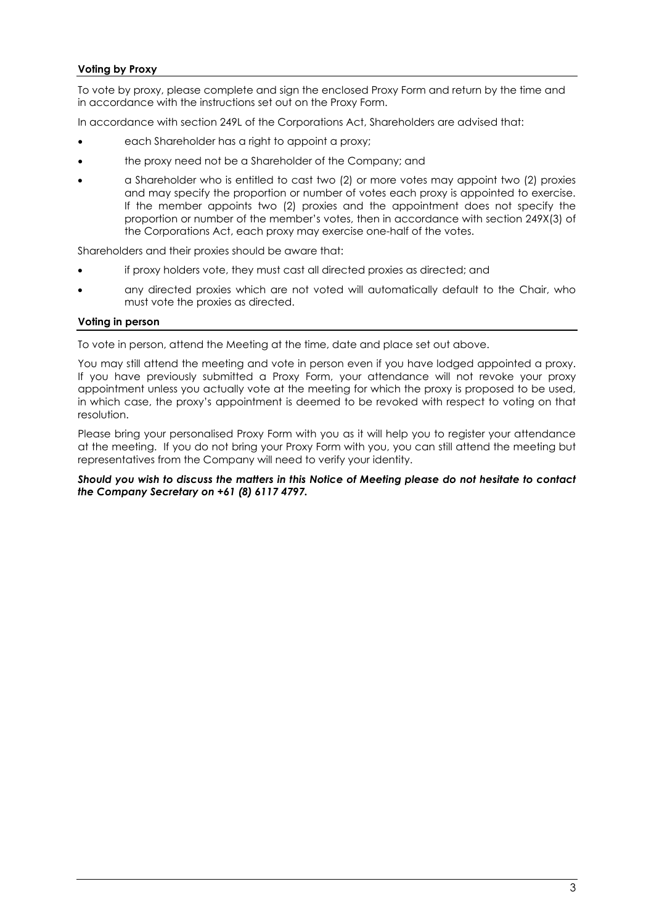#### **Voting by Proxy**

To vote by proxy, please complete and sign the enclosed Proxy Form and return by the time and in accordance with the instructions set out on the Proxy Form.

In accordance with section 249L of the Corporations Act, Shareholders are advised that:

- each Shareholder has a right to appoint a proxy;
- the proxy need not be a Shareholder of the Company; and
- a Shareholder who is entitled to cast two (2) or more votes may appoint two (2) proxies and may specify the proportion or number of votes each proxy is appointed to exercise. If the member appoints two (2) proxies and the appointment does not specify the proportion or number of the member's votes, then in accordance with section 249X(3) of the Corporations Act, each proxy may exercise one-half of the votes.

Shareholders and their proxies should be aware that:

- if proxy holders vote, they must cast all directed proxies as directed; and
- any directed proxies which are not voted will automatically default to the Chair, who must vote the proxies as directed.

#### **Voting in person**

To vote in person, attend the Meeting at the time, date and place set out above.

You may still attend the meeting and vote in person even if you have lodged appointed a proxy. If you have previously submitted a Proxy Form, your attendance will not revoke your proxy appointment unless you actually vote at the meeting for which the proxy is proposed to be used, in which case, the proxy's appointment is deemed to be revoked with respect to voting on that resolution.

Please bring your personalised Proxy Form with you as it will help you to register your attendance at the meeting. If you do not bring your Proxy Form with you, you can still attend the meeting but representatives from the Company will need to verify your identity.

#### *Should you wish to discuss the matters in this Notice of Meeting please do not hesitate to contact the Company Secretary on +61 (8) 6117 4797.*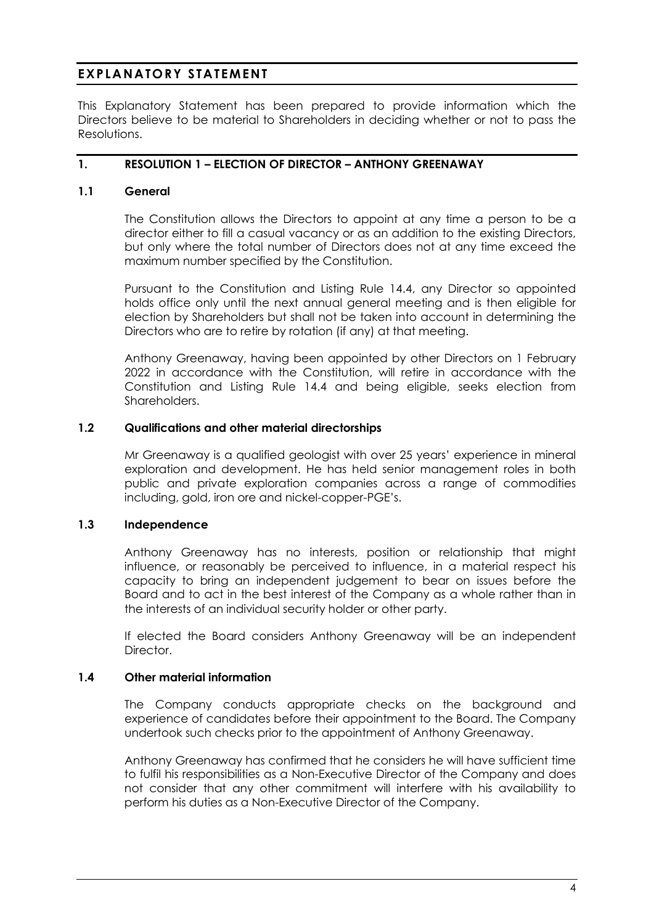# **EXPLANATORY STATEMENT**

This Explanatory Statement has been prepared to provide information which the Directors believe to be material to Shareholders in deciding whether or not to pass the Resolutions.

### **1. RESOLUTION 1 – ELECTION OF DIRECTOR – ANTHONY GREENAWAY**

### **1.1 General**

The Constitution allows the Directors to appoint at any time a person to be a director either to fill a casual vacancy or as an addition to the existing Directors, but only where the total number of Directors does not at any time exceed the maximum number specified by the Constitution.

Pursuant to the Constitution and Listing Rule 14.4, any Director so appointed holds office only until the next annual general meeting and is then eligible for election by Shareholders but shall not be taken into account in determining the Directors who are to retire by rotation (if any) at that meeting.

Anthony Greenaway, having been appointed by other Directors on 1 February 2022 in accordance with the Constitution, will retire in accordance with the Constitution and Listing Rule 14.4 and being eligible, seeks election from Shareholders.

#### **1.2 Qualifications and other material directorships**

Mr Greenaway is a qualified geologist with over 25 years' experience in mineral exploration and development. He has held senior management roles in both public and private exploration companies across a range of commodities including, gold, iron ore and nickel-copper-PGE's.

#### **1.3 Independence**

Anthony Greenaway has no interests, position or relationship that might influence, or reasonably be perceived to influence, in a material respect his capacity to bring an independent judgement to bear on issues before the Board and to act in the best interest of the Company as a whole rather than in the interests of an individual security holder or other party.

If elected the Board considers Anthony Greenaway will be an independent Director.

#### **1.4 Other material information**

The Company conducts appropriate checks on the background and experience of candidates before their appointment to the Board. The Company undertook such checks prior to the appointment of Anthony Greenaway.

Anthony Greenaway has confirmed that he considers he will have sufficient time to fulfil his responsibilities as a Non-Executive Director of the Company and does not consider that any other commitment will interfere with his availability to perform his duties as a Non-Executive Director of the Company.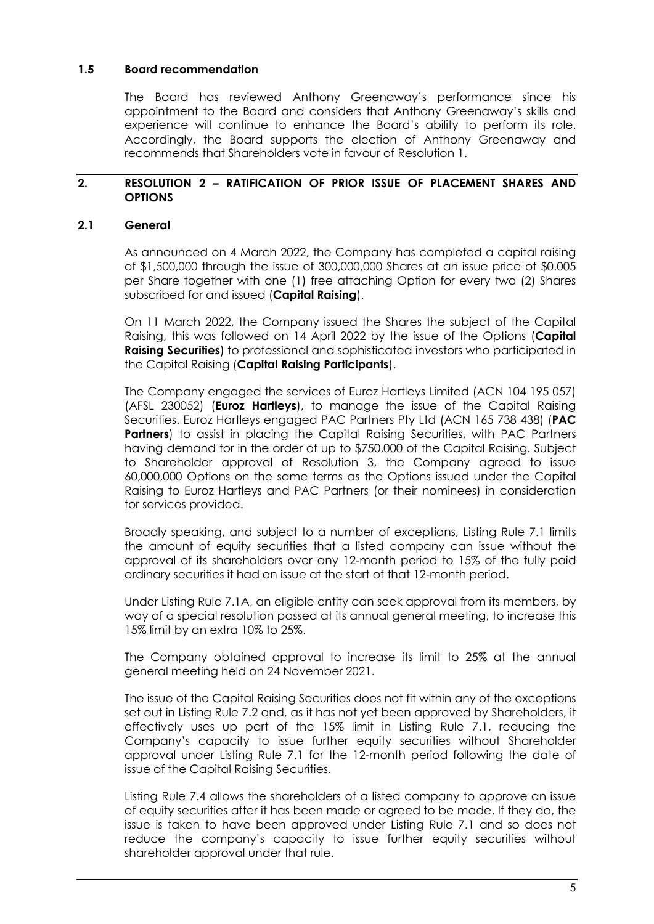### **1.5 Board recommendation**

The Board has reviewed Anthony Greenaway's performance since his appointment to the Board and considers that Anthony Greenaway's skills and experience will continue to enhance the Board's ability to perform its role. Accordingly, the Board supports the election of Anthony Greenaway and recommends that Shareholders vote in favour of [Resolution 1.](#page-1-3)

### **2. RESOLUTION 2 – RATIFICATION OF PRIOR ISSUE OF PLACEMENT SHARES AND OPTIONS**

### <span id="page-5-0"></span>**2.1 General**

As announced on 4 March 2022, the Company has completed a capital raising of \$1,500,000 through the issue of 300,000,000 Shares at an issue price of \$0.005 per Share together with one (1) free attaching Option for every two (2) Shares subscribed for and issued (**Capital Raising**).

On 11 March 2022, the Company issued the Shares the subject of the Capital Raising, this was followed on 14 April 2022 by the issue of the Options (**Capital Raising Securities**) to professional and sophisticated investors who participated in the Capital Raising (**Capital Raising Participants**).

The Company engaged the services of Euroz Hartleys Limited (ACN 104 195 057) (AFSL 230052) (**Euroz Hartleys**), to manage the issue of the Capital Raising Securities. Euroz Hartleys engaged PAC Partners Pty Ltd (ACN 165 738 438) (**PAC Partners**) to assist in placing the Capital Raising Securities, with PAC Partners having demand for in the order of up to \$750,000 of the Capital Raising. Subject to Shareholder approval of [Resolution 3,](#page-1-1) the Company agreed to issue 60,000,000 Options on the same terms as the Options issued under the Capital Raising to Euroz Hartleys and PAC Partners (or their nominees) in consideration for services provided.

Broadly speaking, and subject to a number of exceptions, Listing Rule 7.1 limits the amount of equity securities that a listed company can issue without the approval of its shareholders over any 12-month period to 15% of the fully paid ordinary securities it had on issue at the start of that 12-month period.

Under Listing Rule 7.1A, an eligible entity can seek approval from its members, by way of a special resolution passed at its annual general meeting, to increase this 15% limit by an extra 10% to 25%.

The Company obtained approval to increase its limit to 25% at the annual general meeting held on 24 November 2021.

The issue of the Capital Raising Securities does not fit within any of the exceptions set out in Listing Rule 7.2 and, as it has not yet been approved by Shareholders, it effectively uses up part of the 15% limit in Listing Rule 7.1, reducing the Company's capacity to issue further equity securities without Shareholder approval under Listing Rule 7.1 for the 12-month period following the date of issue of the Capital Raising Securities.

Listing Rule 7.4 allows the shareholders of a listed company to approve an issue of equity securities after it has been made or agreed to be made. If they do, the issue is taken to have been approved under Listing Rule 7.1 and so does not reduce the company's capacity to issue further equity securities without shareholder approval under that rule.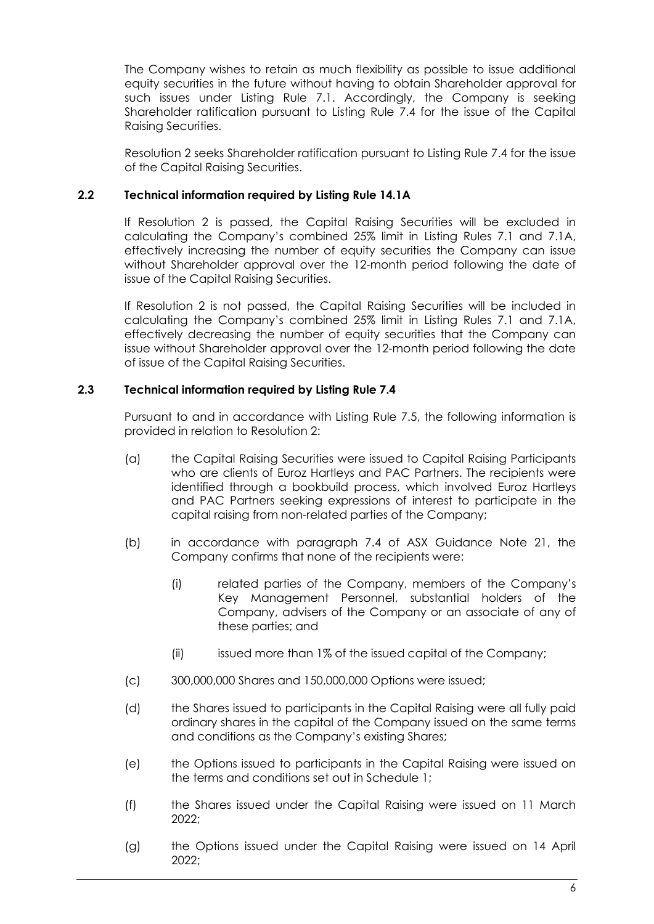The Company wishes to retain as much flexibility as possible to issue additional equity securities in the future without having to obtain Shareholder approval for such issues under Listing Rule 7.1. Accordingly, the Company is seeking Shareholder ratification pursuant to Listing Rule 7.4 for the issue of the Capital Raising Securities.

[Resolution 2](#page-1-0) seeks Shareholder ratification pursuant to Listing Rule 7.4 for the issue of the Capital Raising Securities.

### **2.2 Technical information required by Listing Rule 14.1A**

If [Resolution 2](#page-1-0) is passed, the Capital Raising Securities will be excluded in calculating the Company's combined 25% limit in Listing Rules 7.1 and 7.1A, effectively increasing the number of equity securities the Company can issue without Shareholder approval over the 12-month period following the date of issue of the Capital Raising Securities.

If [Resolution 2](#page-1-0) is not passed, the Capital Raising Securities will be included in calculating the Company's combined 25% limit in Listing Rules 7.1 and 7.1A, effectively decreasing the number of equity securities that the Company can issue without Shareholder approval over the 12-month period following the date of issue of the Capital Raising Securities.

### **2.3 Technical information required by Listing Rule 7.4**

Pursuant to and in accordance with Listing Rule 7.5, the following information is provided in relation to [Resolution 2:](#page-1-0)

- (a) the Capital Raising Securities were issued to Capital Raising Participants who are clients of Euroz Hartleys and PAC Partners. The recipients were identified through a bookbuild process, which involved Euroz Hartleys and PAC Partners seeking expressions of interest to participate in the capital raising from non-related parties of the Company;
- (b) in accordance with paragraph 7.4 of ASX Guidance Note 21, the Company confirms that none of the recipients were:
	- (i) related parties of the Company, members of the Company's Key Management Personnel, substantial holders of the Company, advisers of the Company or an associate of any of these parties; and
	- (ii) issued more than 1% of the issued capital of the Company;
- (c) 300,000,000 Shares and 150,000,000 Options were issued;
- (d) the Shares issued to participants in the Capital Raising were all fully paid ordinary shares in the capital of the Company issued on the same terms and conditions as the Company's existing Shares;
- (e) the Options issued to participants in the Capital Raising were issued on the terms and conditions set out in [Schedule 1;](#page-12-0)
- (f) the Shares issued under the Capital Raising were issued on 11 March 2022;
- (g) the Options issued under the Capital Raising were issued on 14 April 2022;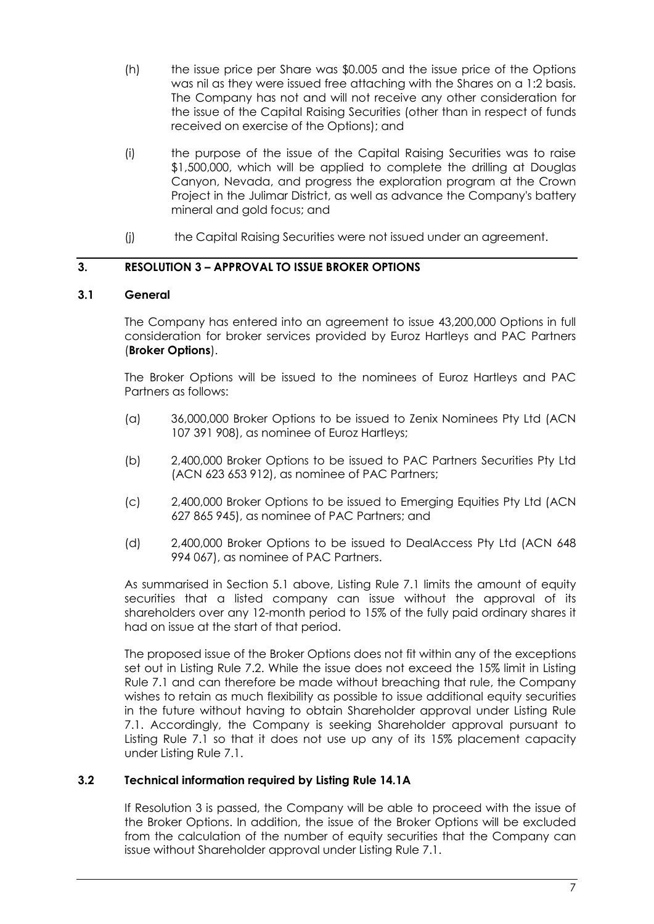- (h) the issue price per Share was \$0.005 and the issue price of the Options was nil as they were issued free attaching with the Shares on a 1:2 basis. The Company has not and will not receive any other consideration for the issue of the Capital Raising Securities (other than in respect of funds received on exercise of the Options); and
- (i) the purpose of the issue of the Capital Raising Securities was to raise \$1,500,000, which will be applied to complete the drilling at Douglas Canyon, Nevada, and progress the exploration program at the Crown Project in the Julimar District, as well as advance the Company's battery mineral and gold focus; and
- (j) the Capital Raising Securities were not issued under an agreement.

### **3. RESOLUTION 3 – APPROVAL TO ISSUE BROKER OPTIONS**

### <span id="page-7-0"></span>**3.1 General**

The Company has entered into an agreement to issue 43,200,000 Options in full consideration for broker services provided by Euroz Hartleys and PAC Partners (**Broker Options**).

The Broker Options will be issued to the nominees of Euroz Hartleys and PAC Partners as follows:

- (a) 36,000,000 Broker Options to be issued to Zenix Nominees Pty Ltd (ACN 107 391 908), as nominee of Euroz Hartleys;
- (b) 2,400,000 Broker Options to be issued to PAC Partners Securities Pty Ltd (ACN 623 653 912), as nominee of PAC Partners;
- (c) 2,400,000 Broker Options to be issued to Emerging Equities Pty Ltd (ACN 627 865 945), as nominee of PAC Partners; and
- (d) 2,400,000 Broker Options to be issued to DealAccess Pty Ltd (ACN 648 994 067), as nominee of PAC Partners.

As summarised in Section [5.1](#page-5-0) above, Listing Rule 7.1 limits the amount of equity securities that a listed company can issue without the approval of its shareholders over any 12-month period to 15% of the fully paid ordinary shares it had on issue at the start of that period.

The proposed issue of the Broker Options does not fit within any of the exceptions set out in Listing Rule 7.2. While the issue does not exceed the 15% limit in Listing Rule 7.1 and can therefore be made without breaching that rule, the Company wishes to retain as much flexibility as possible to issue additional equity securities in the future without having to obtain Shareholder approval under Listing Rule 7.1. Accordingly, the Company is seeking Shareholder approval pursuant to Listing Rule 7.1 so that it does not use up any of its 15% placement capacity under Listing Rule 7.1.

#### **3.2 Technical information required by Listing Rule 14.1A**

If [Resolution 3](#page-1-1) is passed, the Company will be able to proceed with the issue of the Broker Options. In addition, the issue of the Broker Options will be excluded from the calculation of the number of equity securities that the Company can issue without Shareholder approval under Listing Rule 7.1.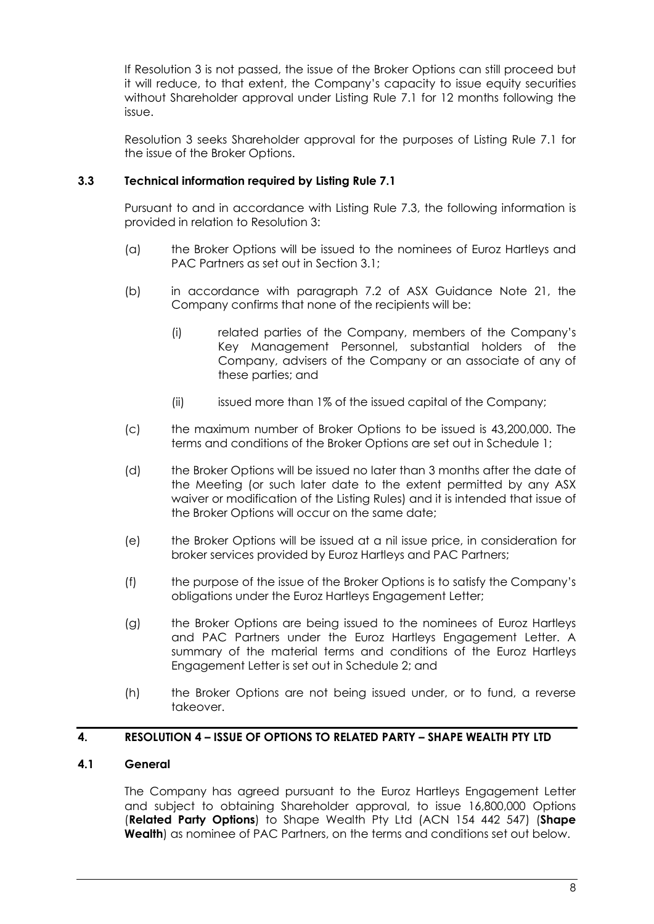If [Resolution 3](#page-1-1) is not passed, the issue of the Broker Options can still proceed but it will reduce, to that extent, the Company's capacity to issue equity securities without Shareholder approval under Listing Rule 7.1 for 12 months following the issue.

[Resolution 3](#page-1-1) seeks Shareholder approval for the purposes of Listing Rule 7.1 for the issue of the Broker Options.

### <span id="page-8-0"></span>**3.3 Technical information required by Listing Rule 7.1**

Pursuant to and in accordance with Listing Rule 7.3, the following information is provided in relation to [Resolution 3:](#page-1-1)

- (a) the Broker Options will be issued to the nominees of Euroz Hartleys and PAC Partners as set out in Section [3.1;](#page-7-0)
- (b) in accordance with paragraph 7.2 of ASX Guidance Note 21, the Company confirms that none of the recipients will be:
	- (i) related parties of the Company, members of the Company's Key Management Personnel, substantial holders of the Company, advisers of the Company or an associate of any of these parties; and
	- (ii) issued more than 1% of the issued capital of the Company;
- (c) the maximum number of Broker Options to be issued is 43,200,000. The terms and conditions of the Broker Options are set out in [Schedule 1;](#page-12-0)
- (d) the Broker Options will be issued no later than 3 months after the date of the Meeting (or such later date to the extent permitted by any ASX waiver or modification of the Listing Rules) and it is intended that issue of the Broker Options will occur on the same date;
- (e) the Broker Options will be issued at a nil issue price, in consideration for broker services provided by Euroz Hartleys and PAC Partners;
- (f) the purpose of the issue of the Broker Options is to satisfy the Company's obligations under the Euroz Hartleys Engagement Letter;
- (g) the Broker Options are being issued to the nominees of Euroz Hartleys and PAC Partners under the Euroz Hartleys Engagement Letter. A summary of the material terms and conditions of the Euroz Hartleys Engagement Letter is set out in [Schedule 2;](#page-14-0) and
- (h) the Broker Options are not being issued under, or to fund, a reverse takeover.

#### **4. RESOLUTION 4 – ISSUE OF OPTIONS TO RELATED PARTY – SHAPE WEALTH PTY LTD**

### **4.1 General**

The Company has agreed pursuant to the Euroz Hartleys Engagement Letter and subject to obtaining Shareholder approval, to issue 16,800,000 Options (**Related Party Options**) to Shape Wealth Pty Ltd (ACN 154 442 547) (**Shape Wealth**) as nominee of PAC Partners, on the terms and conditions set out below.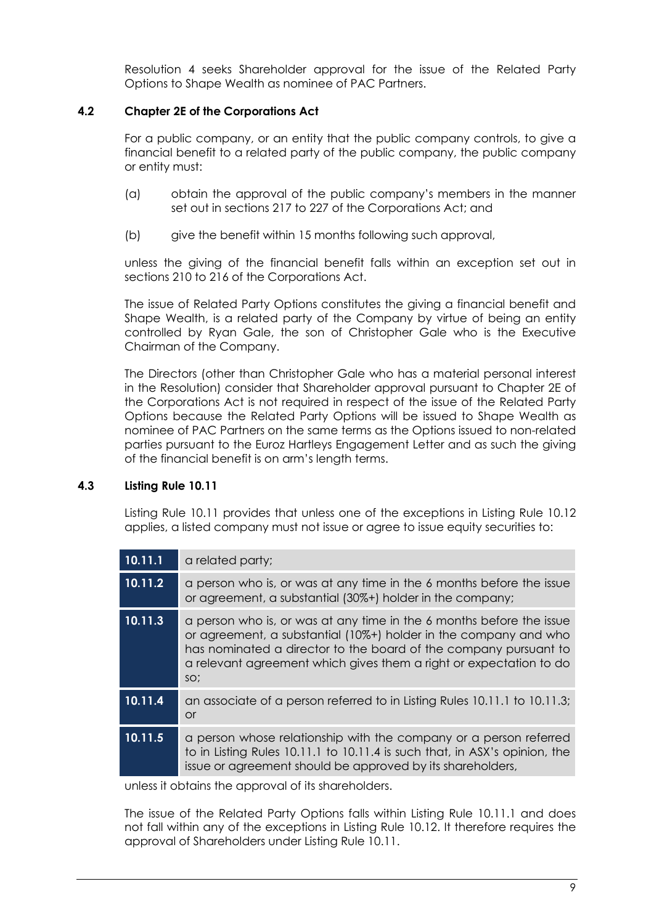[Resolution 4](#page-1-2) seeks Shareholder approval for the issue of the Related Party Options to Shape Wealth as nominee of PAC Partners.

### **4.2 Chapter 2E of the Corporations Act**

For a public company, or an entity that the public company controls, to give a financial benefit to a related party of the public company, the public company or entity must:

- (a) obtain the approval of the public company's members in the manner set out in sections 217 to 227 of the Corporations Act; and
- (b) give the benefit within 15 months following such approval,

unless the giving of the financial benefit falls within an exception set out in sections 210 to 216 of the Corporations Act.

The issue of Related Party Options constitutes the giving a financial benefit and Shape Wealth, is a related party of the Company by virtue of being an entity controlled by Ryan Gale, the son of Christopher Gale who is the Executive Chairman of the Company.

The Directors (other than Christopher Gale who has a material personal interest in the Resolution) consider that Shareholder approval pursuant to Chapter 2E of the Corporations Act is not required in respect of the issue of the Related Party Options because the Related Party Options will be issued to Shape Wealth as nominee of PAC Partners on the same terms as the Options issued to non-related parties pursuant to the Euroz Hartleys Engagement Letter and as such the giving of the financial benefit is on arm's length terms.

### **4.3 Listing Rule 10.11**

Listing Rule 10.11 provides that unless one of the exceptions in Listing Rule 10.12 applies, a listed company must not issue or agree to issue equity securities to:

| 10.11.1 | a related party;                                                                                                                                                                                                                                                                          |
|---------|-------------------------------------------------------------------------------------------------------------------------------------------------------------------------------------------------------------------------------------------------------------------------------------------|
| 10.11.2 | a person who is, or was at any time in the 6 months before the issue<br>or agreement, a substantial (30%+) holder in the company;                                                                                                                                                         |
| 10.11.3 | a person who is, or was at any time in the 6 months before the issue<br>or agreement, a substantial (10%+) holder in the company and who<br>has nominated a director to the board of the company pursuant to<br>a relevant agreement which gives them a right or expectation to do<br>SO; |
| 10.11.4 | an associate of a person referred to in Listing Rules 10.11.1 to 10.11.3;<br>or                                                                                                                                                                                                           |
| 10.11.5 | a person whose relationship with the company or a person referred<br>to in Listing Rules 10.11.1 to 10.11.4 is such that, in ASX's opinion, the<br>issue or agreement should be approved by its shareholders,                                                                             |

unless it obtains the approval of its shareholders.

The issue of the Related Party Options falls within Listing Rule 10.11.1 and does not fall within any of the exceptions in Listing Rule 10.12. It therefore requires the approval of Shareholders under Listing Rule 10.11.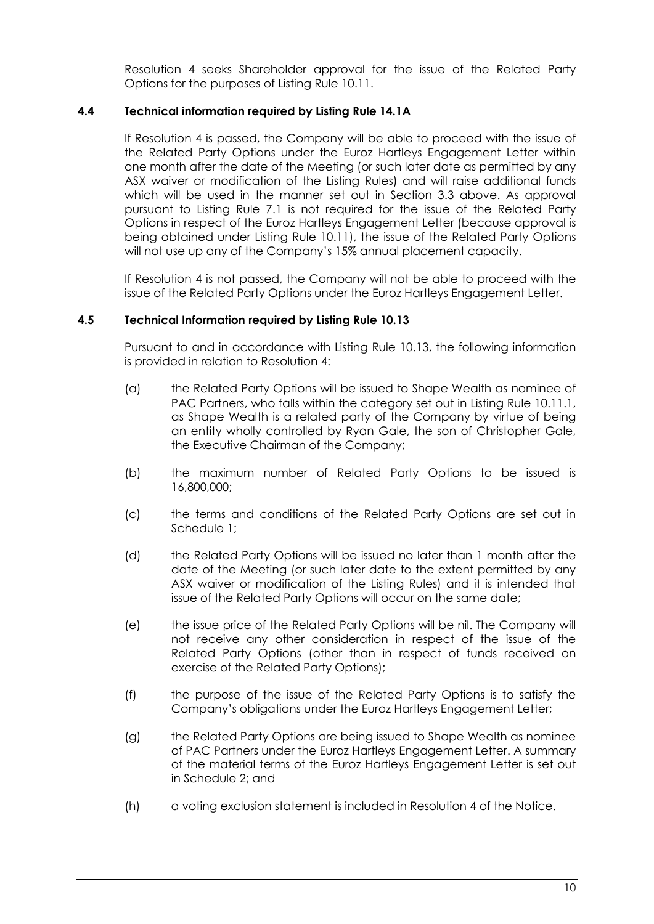[Resolution](#page-1-2) [4](#page-1-2) seeks Shareholder approval for the issue of the Related Party Options for the purposes of Listing Rule 10.11.

### **4.4 Technical information required by Listing Rule 14.1A**

If [Resolution](#page-1-2) [4](#page-1-2) is passed, the Company will be able to proceed with the issue of the Related Party Options under the Euroz Hartleys Engagement Letter within one month after the date of the Meeting (or such later date as permitted by any ASX waiver or modification of the Listing Rules) and will raise additional funds which will be used in the manner set out in Section [3.3](#page-8-0) above. As approval pursuant to Listing Rule 7.1 is not required for the issue of the Related Party Options in respect of the Euroz Hartleys Engagement Letter (because approval is being obtained under Listing Rule 10.11), the issue of the Related Party Options will not use up any of the Company's 15% annual placement capacity.

If [Resolution](#page-1-2) [4](#page-1-2) is not passed, the Company will not be able to proceed with the issue of the Related Party Options under the Euroz Hartleys Engagement Letter.

#### **4.5 Technical Information required by Listing Rule 10.13**

Pursuant to and in accordance with Listing Rule 10.13, the following information is provided in relation to [Resolution](#page-1-2) [4:](#page-1-2)

- (a) the Related Party Options will be issued to Shape Wealth as nominee of PAC Partners, who falls within the category set out in Listing Rule 10.11.1, as Shape Wealth is a related party of the Company by virtue of being an entity wholly controlled by Ryan Gale, the son of Christopher Gale, the Executive Chairman of the Company;
- (b) the maximum number of Related Party Options to be issued is 16,800,000;
- (c) the terms and conditions of the Related Party Options are set out in [Schedule 1;](#page-12-0)
- (d) the Related Party Options will be issued no later than 1 month after the date of the Meeting (or such later date to the extent permitted by any ASX waiver or modification of the Listing Rules) and it is intended that issue of the Related Party Options will occur on the same date;
- (e) the issue price of the Related Party Options will be nil. The Company will not receive any other consideration in respect of the issue of the Related Party Options (other than in respect of funds received on exercise of the Related Party Options);
- (f) the purpose of the issue of the Related Party Options is to satisfy the Company's obligations under the Euroz Hartleys Engagement Letter;
- (g) the Related Party Options are being issued to Shape Wealth as nominee of PAC Partners under the Euroz Hartleys Engagement Letter. A summary of the material terms of the Euroz Hartleys Engagement Letter is set out in [Schedule 2;](#page-14-0) and
- (h) a voting exclusion statement is included in [Resolution](#page-1-2) [4](#page-1-2) of the Notice.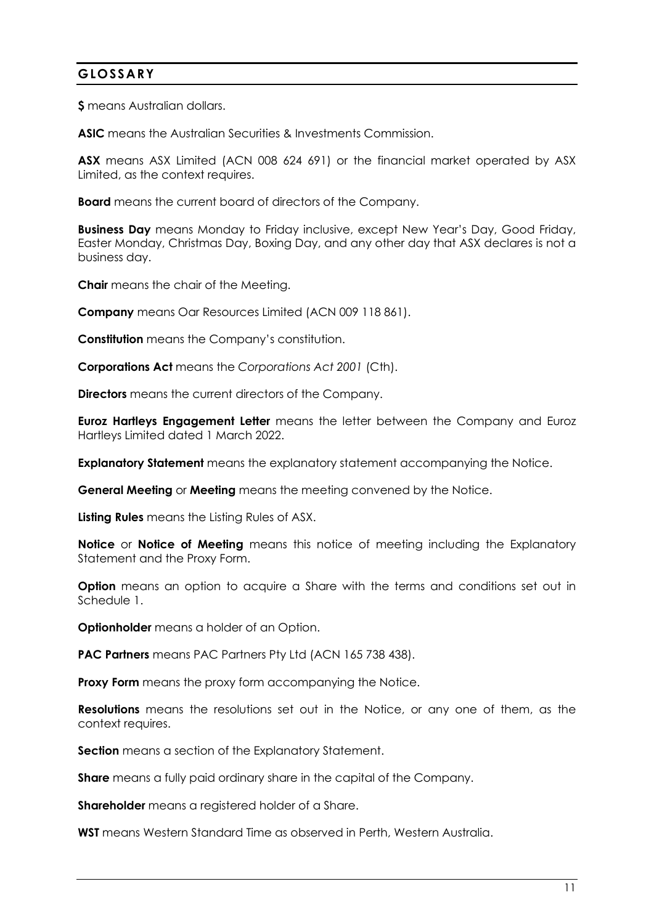# **GLOSSARY**

**\$** means Australian dollars.

**ASIC** means the Australian Securities & Investments Commission.

**ASX** means ASX Limited (ACN 008 624 691) or the financial market operated by ASX Limited, as the context requires.

**Board** means the current board of directors of the Company.

**Business Day** means Monday to Friday inclusive, except New Year's Day, Good Friday, Easter Monday, Christmas Day, Boxing Day, and any other day that ASX declares is not a business day.

**Chair** means the chair of the Meeting.

**Company** means Oar Resources Limited (ACN 009 118 861).

**Constitution** means the Company's constitution.

**Corporations Act** means the *Corporations Act 2001* (Cth).

**Directors** means the current directors of the Company.

**Euroz Hartleys Engagement Letter** means the letter between the Company and Euroz Hartleys Limited dated 1 March 2022.

**Explanatory Statement** means the explanatory statement accompanying the Notice.

**General Meeting** or **Meeting** means the meeting convened by the Notice.

**Listing Rules** means the Listing Rules of ASX.

**Notice** or **Notice of Meeting** means this notice of meeting including the Explanatory Statement and the Proxy Form.

**Option** means an option to acquire a Share with the terms and conditions set out in [Schedule 1.](#page-12-0)

**Optionholder** means a holder of an Option.

**PAC Partners** means PAC Partners Pty Ltd (ACN 165 738 438).

**Proxy Form** means the proxy form accompanying the Notice.

**Resolutions** means the resolutions set out in the Notice, or any one of them, as the context requires.

**Section** means a section of the Explanatory Statement.

**Share** means a fully paid ordinary share in the capital of the Company.

**Shareholder** means a registered holder of a Share.

**WST** means Western Standard Time as observed in Perth, Western Australia.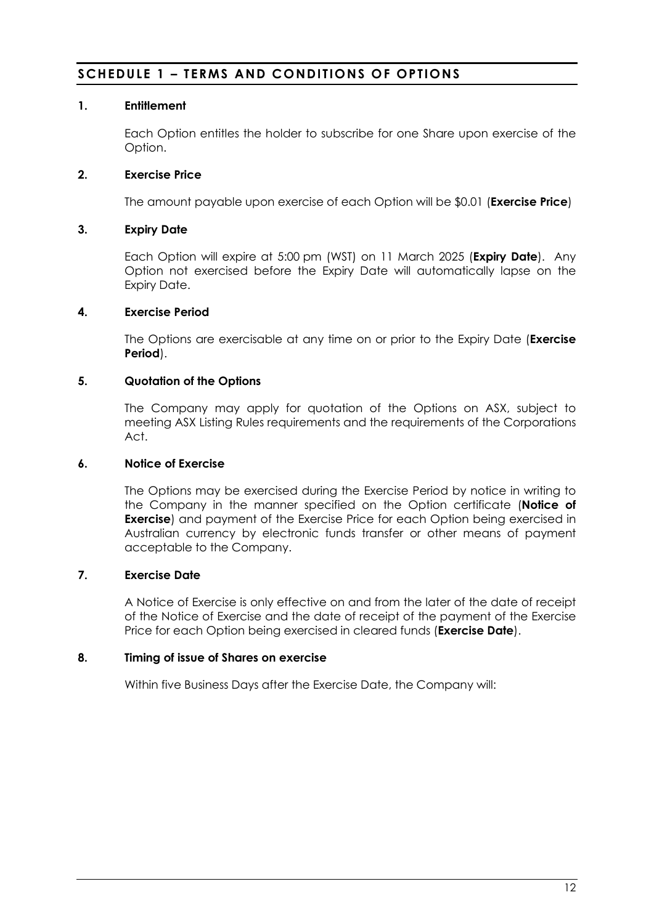# <span id="page-12-0"></span>**SCHEDULE 1 – TERMS AND CONDITIONS OF OPTIONS**

### **1. Entitlement**

Each Option entitles the holder to subscribe for one Share upon exercise of the Option.

### **2. Exercise Price**

The amount payable upon exercise of each Option will be \$0.01 (**Exercise Price**)

### **3. Expiry Date**

Each Option will expire at 5:00 pm (WST) on 11 March 2025 (**Expiry Date**). Any Option not exercised before the Expiry Date will automatically lapse on the Expiry Date.

### **4. Exercise Period**

The Options are exercisable at any time on or prior to the Expiry Date (**Exercise Period**).

### **5. Quotation of the Options**

The Company may apply for quotation of the Options on ASX, subject to meeting ASX Listing Rules requirements and the requirements of the Corporations Act.

### **6. Notice of Exercise**

The Options may be exercised during the Exercise Period by notice in writing to the Company in the manner specified on the Option certificate (**Notice of Exercise**) and payment of the Exercise Price for each Option being exercised in Australian currency by electronic funds transfer or other means of payment acceptable to the Company.

### **7. Exercise Date**

A Notice of Exercise is only effective on and from the later of the date of receipt of the Notice of Exercise and the date of receipt of the payment of the Exercise Price for each Option being exercised in cleared funds (**Exercise Date**).

#### **8. Timing of issue of Shares on exercise**

Within five Business Days after the Exercise Date, the Company will: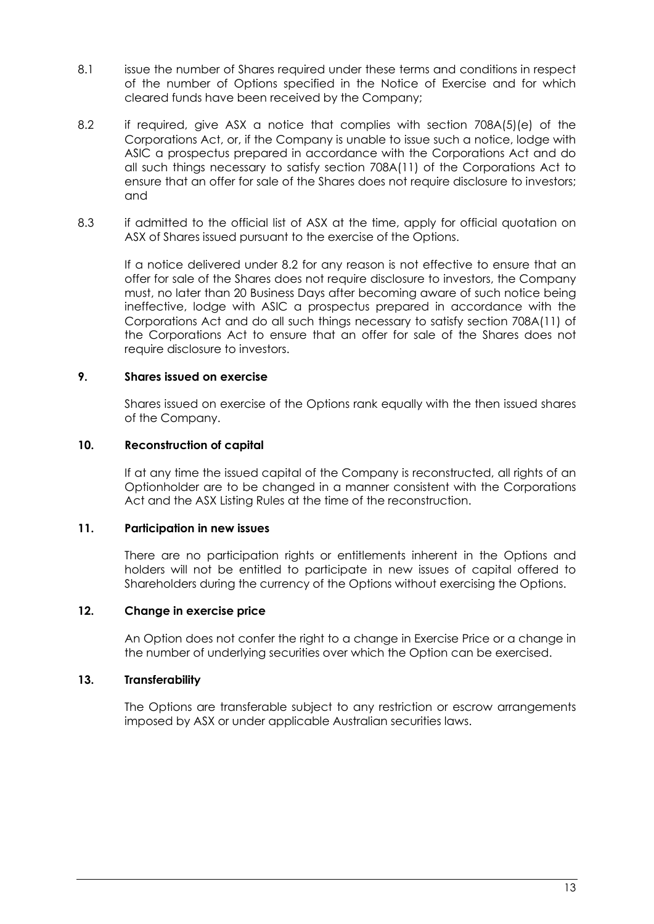- 8.1 issue the number of Shares required under these terms and conditions in respect of the number of Options specified in the Notice of Exercise and for which cleared funds have been received by the Company;
- 8.2 if required, give ASX a notice that complies with section 708A(5)(e) of the Corporations Act, or, if the Company is unable to issue such a notice, lodge with ASIC a prospectus prepared in accordance with the Corporations Act and do all such things necessary to satisfy section 708A(11) of the Corporations Act to ensure that an offer for sale of the Shares does not require disclosure to investors; and
- 8.3 if admitted to the official list of ASX at the time, apply for official quotation on ASX of Shares issued pursuant to the exercise of the Options.

If a notice delivered under 8.2 for any reason is not effective to ensure that an offer for sale of the Shares does not require disclosure to investors, the Company must, no later than 20 Business Days after becoming aware of such notice being ineffective, lodge with ASIC a prospectus prepared in accordance with the Corporations Act and do all such things necessary to satisfy section 708A(11) of the Corporations Act to ensure that an offer for sale of the Shares does not require disclosure to investors.

#### **9. Shares issued on exercise**

Shares issued on exercise of the Options rank equally with the then issued shares of the Company.

#### **10. Reconstruction of capital**

If at any time the issued capital of the Company is reconstructed, all rights of an Optionholder are to be changed in a manner consistent with the Corporations Act and the ASX Listing Rules at the time of the reconstruction.

#### **11. Participation in new issues**

There are no participation rights or entitlements inherent in the Options and holders will not be entitled to participate in new issues of capital offered to Shareholders during the currency of the Options without exercising the Options.

#### **12. Change in exercise price**

An Option does not confer the right to a change in Exercise Price or a change in the number of underlying securities over which the Option can be exercised.

#### **13. Transferability**

The Options are transferable subject to any restriction or escrow arrangements imposed by ASX or under applicable Australian securities laws.